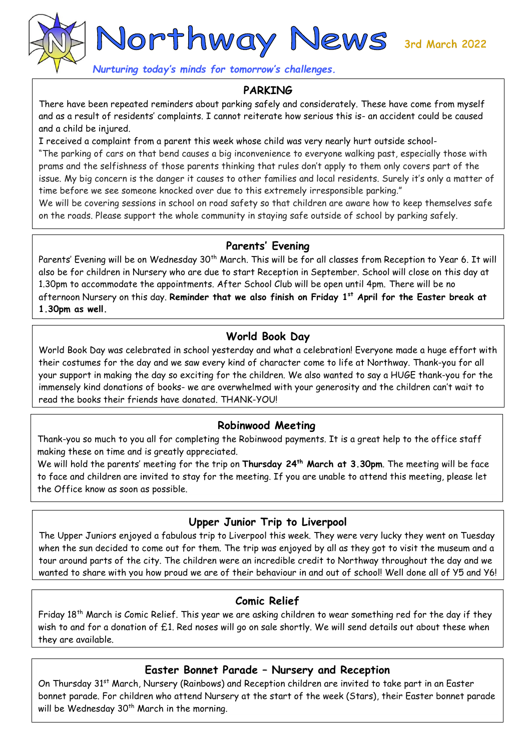Northway News 3rd March 2022

*Nurturing today's minds for tomorrow's challenges.* 

#### **PARKING**

There have been repeated reminders about parking safely and considerately. These have come from myself and as a result of residents' complaints. I cannot reiterate how serious this is- an accident could be caused and a child be injured.

I received a complaint from a parent this week whose child was very nearly hurt outside school-

"The parking of cars on that bend causes a big inconvenience to everyone walking past, especially those with prams and the selfishness of those parents thinking that rules don't apply to them only covers part of the issue. My big concern is the danger it causes to other families and local residents. Surely it's only a matter of time before we see someone knocked over due to this extremely irresponsible parking."

We will be covering sessions in school on road safety so that children are aware how to keep themselves safe on the roads. Please support the whole community in staying safe outside of school by parking safely.

#### **Parents' Evening**

Parents' Evening will be on Wednesday 30<sup>th</sup> March. This will be for all classes from Reception to Year 6. It will also be for children in Nursery who are due to start Reception in September. School will close on this day at 1.30pm to accommodate the appointments. After School Club will be open until 4pm. There will be no afternoon Nursery on this day. **Reminder that we also finish on Friday 1st April for the Easter break at 1.30pm as well.**

# **World Book Day**

World Book Day was celebrated in school yesterday and what a celebration! Everyone made a huge effort with their costumes for the day and we saw every kind of character come to life at Northway. Thank-you for all your support in making the day so exciting for the children. We also wanted to say a HUGE thank-you for the immensely kind donations of books- we are overwhelmed with your generosity and the children can't wait to read the books their friends have donated. THANK-YOU!

#### **Robinwood Meeting**

Thank-you so much to you all for completing the Robinwood payments. It is a great help to the office staff making these on time and is greatly appreciated.

We will hold the parents' meeting for the trip on **Thursday 24th March at 3.30pm**. The meeting will be face to face and children are invited to stay for the meeting. If you are unable to attend this meeting, please let the Office know as soon as possible.

## **Upper Junior Trip to Liverpool**

The Upper Juniors enjoyed a fabulous trip to Liverpool this week. They were very lucky they went on Tuesday when the sun decided to come out for them. The trip was enjoyed by all as they got to visit the museum and a tour around parts of the city. The children were an incredible credit to Northway throughout the day and we wanted to share with you how proud we are of their behaviour in and out of school! Well done all of Y5 and Y6!

## **Comic Relief**

Friday 18<sup>th</sup> March is Comic Relief. This year we are asking children to wear something red for the day if they wish to and for a donation of £1. Red noses will go on sale shortly. We will send details out about these when they are available.

#### **Easter Bonnet Parade – Nursery and Reception**

On Thursday 31<sup>st</sup> March, Nursery (Rainbows) and Reception children are invited to take part in an Easter bonnet parade. For children who attend Nursery at the start of the week (Stars), their Easter bonnet parade will be Wednesday 30<sup>th</sup> March in the morning.